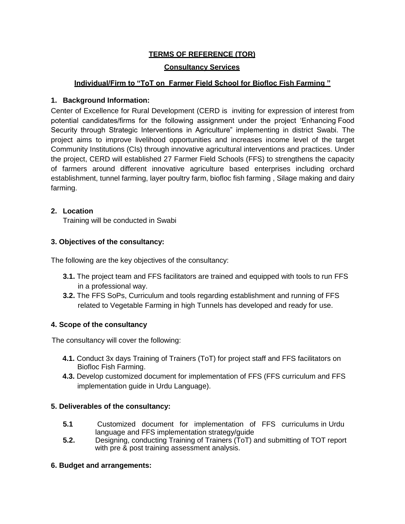# **TERMS OF REFERENCE (TOR)**

#### **Consultancy Services**

# **Individual/Firm to "ToT on Farmer Field School for Biofloc Fish Farming "**

### **1. Background Information:**

Center of Excellence for Rural Development (CERD is inviting for expression of interest from potential candidates/firms for the following assignment under the project 'Enhancing Food Security through Strategic Interventions in Agriculture" implementing in district Swabi. The project aims to improve livelihood opportunities and increases income level of the target Community Institutions (CIs) through innovative agricultural interventions and practices. Under the project, CERD will established 27 Farmer Field Schools (FFS) to strengthens the capacity of farmers around different innovative agriculture based enterprises including orchard establishment, tunnel farming, layer poultry farm, biofloc fish farming , Silage making and dairy farming.

### **2. Location**

Training will be conducted in Swabi

# **3. Objectives of the consultancy:**

The following are the key objectives of the consultancy:

- **3.1.** The project team and FFS facilitators are trained and equipped with tools to run FFS in a professional way.
- **3.2.** The FFS SoPs, Curriculum and tools regarding establishment and running of FFS related to Vegetable Farming in high Tunnels has developed and ready for use.

# **4. Scope of the consultancy**

The consultancy will cover the following:

- **4.1.** Conduct 3x days Training of Trainers (ToT) for project staff and FFS facilitators on Biofloc Fish Farming.
- **4.3.** Develop customized document for implementation of FFS (FFS curriculum and FFS implementation guide in Urdu Language).

#### **5. Deliverables of the consultancy:**

- **5.1** Customized document for implementation of FFS curriculums in Urdu language and FFS implementation strategy/guide
- **5.2.** Designing, conducting Training of Trainers (ToT) and submitting of TOT report with pre & post training assessment analysis.

#### **6. Budget and arrangements:**